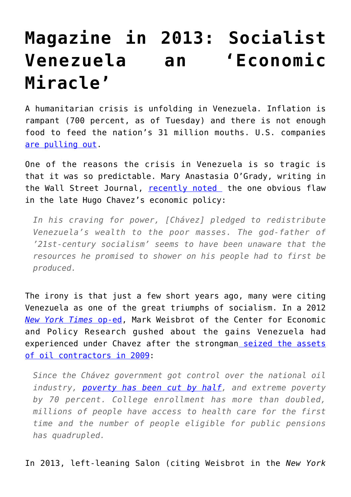## **[Magazine in 2013: Socialist](https://intellectualtakeout.org/2016/05/magazine-in-2013-socialist-venezuela-an-economic-miracle/) [Venezuela an 'Economic](https://intellectualtakeout.org/2016/05/magazine-in-2013-socialist-venezuela-an-economic-miracle/) [Miracle'](https://intellectualtakeout.org/2016/05/magazine-in-2013-socialist-venezuela-an-economic-miracle/)**

A humanitarian crisis is unfolding in Venezuela. Inflation is rampant (700 percent, as of Tuesday) and there is not enough food to feed the nation's 31 million mouths. U.S. companies [are pulling out](http://Today, the socialist state cannot feed itself.).

One of the reasons the crisis in Venezuela is so tragic is that it was so predictable. Mary Anastasia O'Grady, writing in the Wall Street Journal, [recently noted](http://www.wsj.com/articles/venezuelas-hunger-is-no-game-1462738401) the one obvious flaw in the late Hugo Chavez's economic policy:

*In his craving for power, [Chávez] pledged to redistribute Venezuela's wealth to the poor masses. The god-father of '21st-century socialism' seems to have been unaware that the resources he promised to shower on his people had to first be produced.*

The irony is that just a few short years ago, many were citing Venezuela as one of the great triumphs of socialism. In a 2012 *[New York Times](http://www.nytimes.com/2012/10/10/opinion/why-chavez-was-re-elected.html?_r=0)* [op-ed](http://www.nytimes.com/2012/10/10/opinion/why-chavez-was-re-elected.html?_r=0), Mark Weisbrot of the Center for Economic and Policy Research gushed about the gains Venezuela had experienced under Chavez after the strongman [seized the assets](http://www.nytimes.com/2009/05/09/world/americas/09venez.html) [of oil contractors in 2009:](http://www.nytimes.com/2009/05/09/world/americas/09venez.html)

*Since the Chávez government got control over the national oil industry, [poverty has been cut by half](http://data.worldbank.org/indicator/SI.POV.NAHC/countries/VE?display=graph&version=meter+at+0&module=meter-Links&pgtype=article&contentId=&mediaId=&referrer=http%3A%2F%2Fwww.salon.com%2F2013%2F03%2F06%2Fhugo_chavezs_economic_miracle%2F&priority=true&action=click&contentCollection=meter-links-click), and extreme poverty by 70 percent. College enrollment has more than doubled, millions of people have access to health care for the first time and the number of people eligible for public pensions has quadrupled.*

In 2013, left-leaning Salon (citing Weisbrot in the *New York*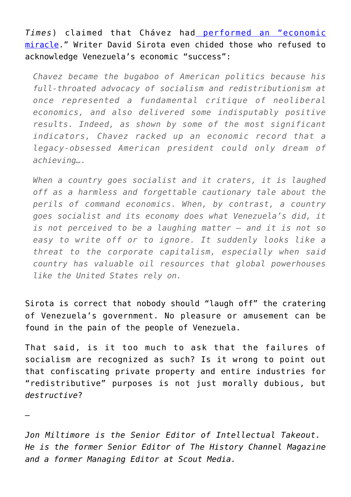*Times*) claimed that Chávez had [performed an "economic](http://www.salon.com/2013/03/06/hugo_chavezs_economic_miracle/) [miracle.](http://www.salon.com/2013/03/06/hugo_chavezs_economic_miracle/)" Writer David Sirota even chided those who refused to acknowledge Venezuela's economic "success":

*Chavez became the bugaboo of American politics because his full-throated advocacy of socialism and redistributionism at once represented a fundamental critique of neoliberal economics, and also delivered some indisputably positive results. Indeed, as shown by some of the most significant indicators, Chavez racked up an economic record that a legacy-obsessed American president could only dream of achieving….*

*When a country goes socialist and it craters, it is laughed off as a harmless and forgettable cautionary tale about the perils of command economics. When, by contrast, a country goes socialist and its economy does what Venezuela's did, it is not perceived to be a laughing matter – and it is not so easy to write off or to ignore. It suddenly looks like a threat to the corporate capitalism, especially when said country has valuable oil resources that global powerhouses like the United States rely on.*

Sirota is correct that nobody should "laugh off" the cratering of Venezuela's government. No pleasure or amusement can be found in the pain of the people of Venezuela.

That said, is it too much to ask that the failures of socialism are recognized as such? Is it wrong to point out that confiscating private property and entire industries for "redistributive" purposes is not just morally dubious, but *destructive*?

*Jon Miltimore is the Senior Editor of Intellectual Takeout. He is the former Senior Editor of The History Channel Magazine and a former Managing Editor at Scout Media.* 

*—*